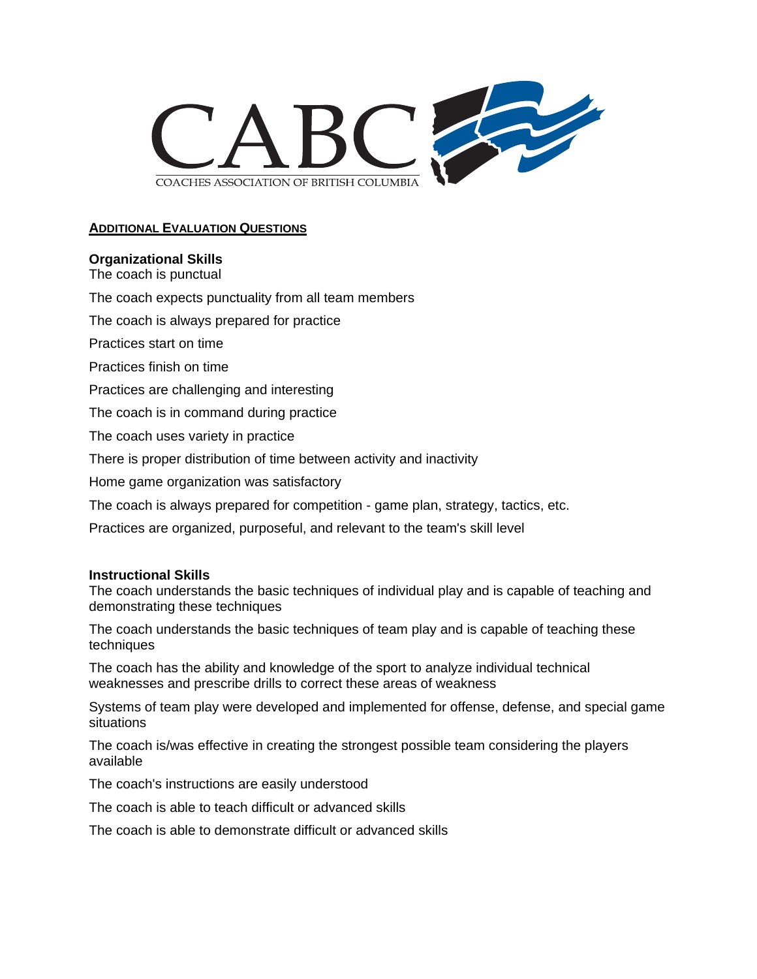

# **ADDITIONAL EVALUATION QUESTIONS**

## **Organizational Skills**

The coach is punctual

The coach expects punctuality from all team members

The coach is always prepared for practice

Practices start on time

Practices finish on time

Practices are challenging and interesting

The coach is in command during practice

The coach uses variety in practice

There is proper distribution of time between activity and inactivity

Home game organization was satisfactory

The coach is always prepared for competition - game plan, strategy, tactics, etc.

Practices are organized, purposeful, and relevant to the team's skill level

#### **Instructional Skills**

The coach understands the basic techniques of individual play and is capable of teaching and demonstrating these techniques

The coach understands the basic techniques of team play and is capable of teaching these techniques

The coach has the ability and knowledge of the sport to analyze individual technical weaknesses and prescribe drills to correct these areas of weakness

Systems of team play were developed and implemented for offense, defense, and special game situations

The coach is/was effective in creating the strongest possible team considering the players available

The coach's instructions are easily understood

The coach is able to teach difficult or advanced skills

The coach is able to demonstrate difficult or advanced skills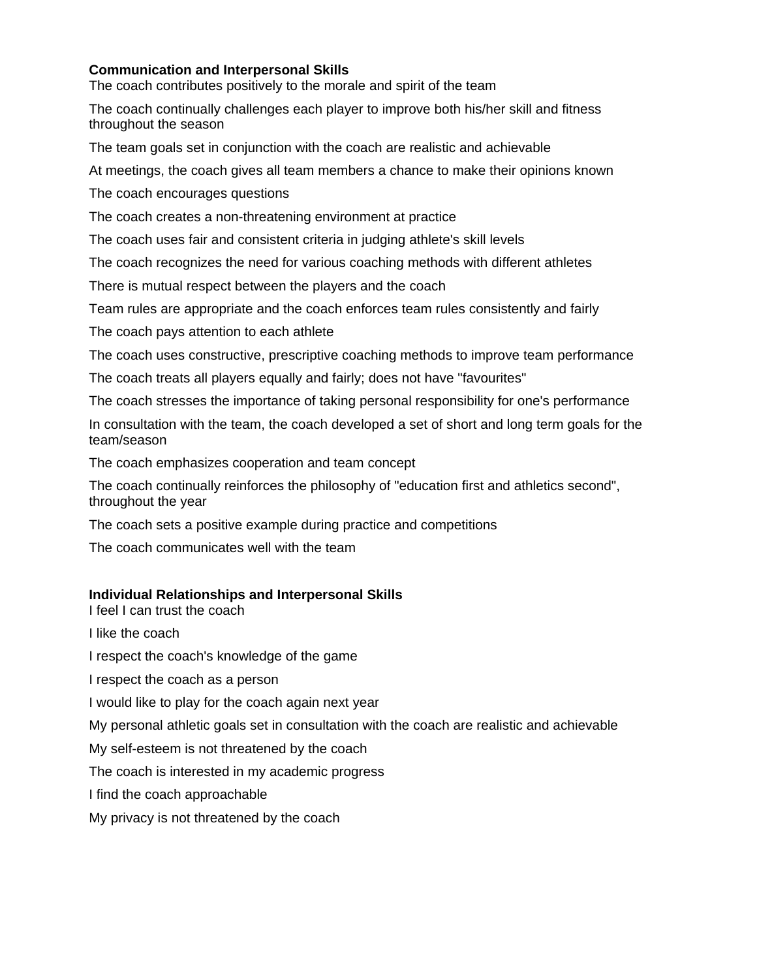## **Communication and Interpersonal Skills**

The coach contributes positively to the morale and spirit of the team

The coach continually challenges each player to improve both his/her skill and fitness throughout the season

The team goals set in conjunction with the coach are realistic and achievable

At meetings, the coach gives all team members a chance to make their opinions known

The coach encourages questions

The coach creates a non-threatening environment at practice

The coach uses fair and consistent criteria in judging athlete's skill levels

The coach recognizes the need for various coaching methods with different athletes

There is mutual respect between the players and the coach

Team rules are appropriate and the coach enforces team rules consistently and fairly

The coach pays attention to each athlete

The coach uses constructive, prescriptive coaching methods to improve team performance

The coach treats all players equally and fairly; does not have "favourites"

The coach stresses the importance of taking personal responsibility for one's performance

In consultation with the team, the coach developed a set of short and long term goals for the team/season

The coach emphasizes cooperation and team concept

The coach continually reinforces the philosophy of "education first and athletics second", throughout the year

The coach sets a positive example during practice and competitions

The coach communicates well with the team

## **Individual Relationships and Interpersonal Skills**

I feel I can trust the coach

I like the coach

I respect the coach's knowledge of the game

I respect the coach as a person

I would like to play for the coach again next year

My personal athletic goals set in consultation with the coach are realistic and achievable

My self-esteem is not threatened by the coach

The coach is interested in my academic progress

I find the coach approachable

My privacy is not threatened by the coach